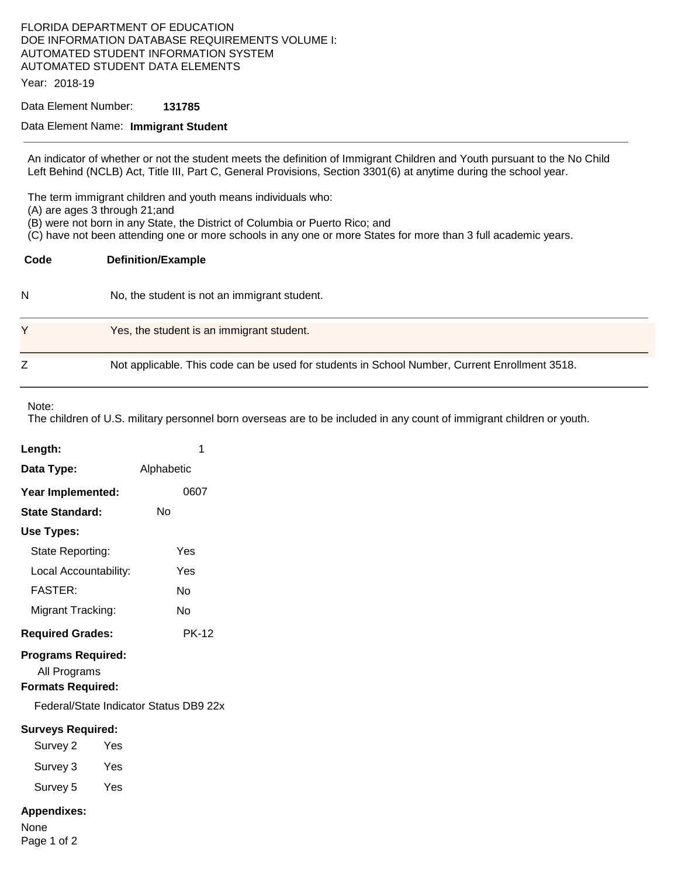## FLORIDA DEPARTMENT OF EDUCATION DOE INFORMATION DATABASE REQUIREMENTS VOLUME I: AUTOMATED STUDENT INFORMATION SYSTEM AUTOMATED STUDENT DATA ELEMENTS

Year: 2018-19

#### Data Element Number: **131785**

#### Data Element Name: **Immigrant Student**

An indicator of whether or not the student meets the definition of Immigrant Children and Youth pursuant to the No Child Left Behind (NCLB) Act, Title III, Part C, General Provisions, Section 3301(6) at anytime during the school year.

The term immigrant children and youth means individuals who:

(A) are ages 3 through 21;and

(B) were not born in any State, the District of Columbia or Puerto Rico; and

(C) have not been attending one or more schools in any one or more States for more than 3 full academic years.

| Code | <b>Definition/Example</b>                                                                     |
|------|-----------------------------------------------------------------------------------------------|
| N    | No, the student is not an immigrant student.                                                  |
| Y    | Yes, the student is an immigrant student.                                                     |
| Z    | Not applicable. This code can be used for students in School Number, Current Enrollment 3518. |

Note:

The children of U.S. military personnel born overseas are to be included in any count of immigrant children or youth.

| Length:                                                               | 1          |  |  |  |
|-----------------------------------------------------------------------|------------|--|--|--|
| Data Type:                                                            | Alphabetic |  |  |  |
| Year Implemented:                                                     | 0607       |  |  |  |
| <b>State Standard:</b>                                                | Nο         |  |  |  |
| Use Types:                                                            |            |  |  |  |
| State Reporting:                                                      | Yes        |  |  |  |
| Local Accountability:                                                 | Yes        |  |  |  |
| <b>FASTER:</b>                                                        | N٥         |  |  |  |
| Migrant Tracking:                                                     | N٥         |  |  |  |
| <b>Required Grades:</b>                                               | PK-12      |  |  |  |
| <b>Programs Required:</b><br>All Programs<br><b>Formats Required:</b> |            |  |  |  |
| Federal/State Indicator Status DB9 22x                                |            |  |  |  |
| <b>Surveys Required:</b>                                              |            |  |  |  |
| Survey 2<br>Yes                                                       |            |  |  |  |
| Survey 3<br>Yes                                                       |            |  |  |  |
| Survey 5<br>Yes                                                       |            |  |  |  |

## **Appendixes:**

None Page 1 of 2